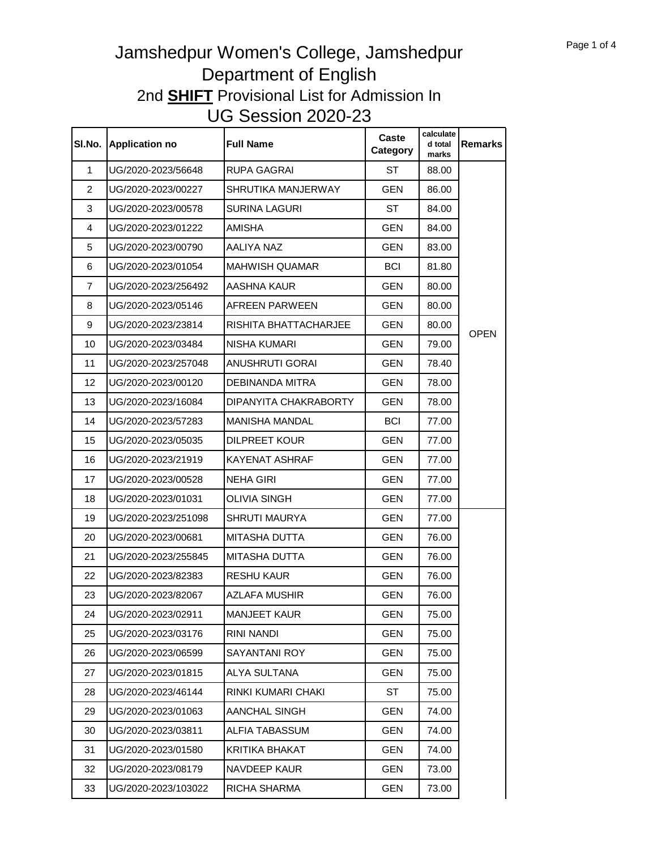|                | SI.No. Application no | <b>Full Name</b>      | Caste<br>Category | calculate<br>d total<br>marks | <b>Remarks</b> |
|----------------|-----------------------|-----------------------|-------------------|-------------------------------|----------------|
| 1              | UG/2020-2023/56648    | RUPA GAGRAI           | ST                | 88.00                         |                |
| $\overline{2}$ | UG/2020-2023/00227    | SHRUTIKA MANJERWAY    | <b>GEN</b>        | 86.00                         |                |
| 3              | UG/2020-2023/00578    | SURINA LAGURI         | <b>ST</b>         | 84.00                         |                |
| 4              | UG/2020-2023/01222    | AMISHA                | <b>GEN</b>        | 84.00                         |                |
| 5              | UG/2020-2023/00790    | AALIYA NAZ            | <b>GEN</b>        | 83.00                         |                |
| 6              | UG/2020-2023/01054    | MAHWISH QUAMAR        | <b>BCI</b>        | 81.80                         |                |
| 7              | UG/2020-2023/256492   | AASHNA KAUR           | <b>GEN</b>        | 80.00                         |                |
| 8              | UG/2020-2023/05146    | AFREEN PARWEEN        | <b>GEN</b>        | 80.00                         |                |
| 9              | UG/2020-2023/23814    | RISHITA BHATTACHARJEE | <b>GEN</b>        | 80.00                         |                |
| 10             | UG/2020-2023/03484    | NISHA KUMARI          | <b>GEN</b>        | 79.00                         | <b>OPEN</b>    |
| 11             | UG/2020-2023/257048   | ANUSHRUTI GORAI       | <b>GEN</b>        | 78.40                         |                |
| 12             | UG/2020-2023/00120    | DEBINANDA MITRA       | <b>GEN</b>        | 78.00                         |                |
| 13             | UG/2020-2023/16084    | DIPANYITA CHAKRABORTY | <b>GEN</b>        | 78.00                         |                |
| 14             | UG/2020-2023/57283    | MANISHA MANDAL        | <b>BCI</b>        | 77.00                         |                |
| 15             | UG/2020-2023/05035    | <b>DILPREET KOUR</b>  | <b>GEN</b>        | 77.00                         |                |
| 16             | UG/2020-2023/21919    | KAYENAT ASHRAF        | <b>GEN</b>        | 77.00                         |                |
| 17             | UG/2020-2023/00528    | NEHA GIRI             | <b>GEN</b>        | 77.00                         |                |
| 18             | UG/2020-2023/01031    | OLIVIA SINGH          | <b>GEN</b>        | 77.00                         |                |
| 19             | UG/2020-2023/251098   | SHRUTI MAURYA         | <b>GEN</b>        | 77.00                         |                |
| 20             | UG/2020-2023/00681    | MITASHA DUTTA         | <b>GEN</b>        | 76.00                         |                |
| 21             | UG/2020-2023/255845   | MITASHA DUTTA         | <b>GEN</b>        | 76.00                         |                |
| 22             | UG/2020-2023/82383    | RESHU KAUR            | <b>GEN</b>        | 76.00                         |                |
| 23             | UG/2020-2023/82067    | AZLAFA MUSHIR         | <b>GEN</b>        | 76.00                         |                |
| 24             | UG/2020-2023/02911    | <b>MANJEET KAUR</b>   | <b>GEN</b>        | 75.00                         |                |
| 25             | UG/2020-2023/03176    | RINI NANDI            | <b>GEN</b>        | 75.00                         |                |
| 26             | UG/2020-2023/06599    | SAYANTANI ROY         | <b>GEN</b>        | 75.00                         |                |
| 27             | UG/2020-2023/01815    | <b>ALYA SULTANA</b>   | <b>GEN</b>        | 75.00                         |                |
| 28             | UG/2020-2023/46144    | RINKI KUMARI CHAKI    | ST                | 75.00                         |                |
| 29             | UG/2020-2023/01063    | AANCHAL SINGH         | <b>GEN</b>        | 74.00                         |                |
| 30             | UG/2020-2023/03811    | ALFIA TABASSUM        | <b>GEN</b>        | 74.00                         |                |
| 31             | UG/2020-2023/01580    | KRITIKA BHAKAT        | <b>GEN</b>        | 74.00                         |                |
| 32             | UG/2020-2023/08179    | NAVDEEP KAUR          | GEN               | 73.00                         |                |
| 33             | UG/2020-2023/103022   | RICHA SHARMA          | <b>GEN</b>        | 73.00                         |                |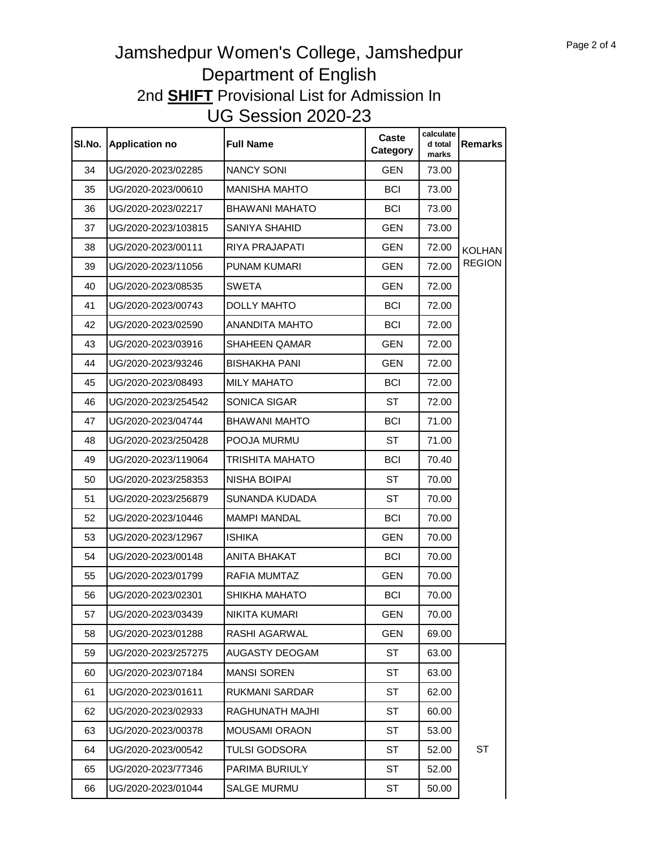| SI.No. | <b>Application no</b> | <b>Full Name</b>       | Caste<br>Category | calculate<br>d total<br>marks | <b>Remarks</b> |
|--------|-----------------------|------------------------|-------------------|-------------------------------|----------------|
| 34     | UG/2020-2023/02285    | <b>NANCY SONI</b>      | <b>GEN</b>        | 73.00                         |                |
| 35     | UG/2020-2023/00610    | <b>MANISHA MAHTO</b>   | <b>BCI</b>        | 73.00                         |                |
| 36     | UG/2020-2023/02217    | <b>BHAWANI MAHATO</b>  | <b>BCI</b>        | 73.00                         |                |
| 37     | UG/2020-2023/103815   | SANIYA SHAHID          | <b>GEN</b>        | 73.00                         |                |
| 38     | UG/2020-2023/00111    | <b>RIYA PRAJAPATI</b>  | <b>GEN</b>        | 72.00                         | <b>KOLHAN</b>  |
| 39     | UG/2020-2023/11056    | PUNAM KUMARI           | <b>GEN</b>        | 72.00                         | <b>REGION</b>  |
| 40     | UG/2020-2023/08535    | <b>SWETA</b>           | <b>GEN</b>        | 72.00                         |                |
| 41     | UG/2020-2023/00743    | <b>DOLLY MAHTO</b>     | <b>BCI</b>        | 72.00                         |                |
| 42     | UG/2020-2023/02590    | <b>ANANDITA MAHTO</b>  | <b>BCI</b>        | 72.00                         |                |
| 43     | UG/2020-2023/03916    | <b>SHAHEEN QAMAR</b>   | <b>GEN</b>        | 72.00                         |                |
| 44     | UG/2020-2023/93246    | <b>BISHAKHA PANI</b>   | <b>GEN</b>        | 72.00                         |                |
| 45     | UG/2020-2023/08493    | <b>MILY MAHATO</b>     | <b>BCI</b>        | 72.00                         |                |
| 46     | UG/2020-2023/254542   | SONICA SIGAR           | ST                | 72.00                         |                |
| 47     | UG/2020-2023/04744    | <b>BHAWANI MAHTO</b>   | <b>BCI</b>        | 71.00                         |                |
| 48     | UG/2020-2023/250428   | POOJA MURMU            | ST                | 71.00                         |                |
| 49     | UG/2020-2023/119064   | <b>TRISHITA MAHATO</b> | <b>BCI</b>        | 70.40                         |                |
| 50     | UG/2020-2023/258353   | <b>NISHA BOIPAI</b>    | ST                | 70.00                         |                |
| 51     | UG/2020-2023/256879   | SUNANDA KUDADA         | <b>ST</b>         | 70.00                         |                |
| 52     | UG/2020-2023/10446    | <b>MAMPI MANDAL</b>    | <b>BCI</b>        | 70.00                         |                |
| 53     | UG/2020-2023/12967    | <b>ISHIKA</b>          | <b>GEN</b>        | 70.00                         |                |
| 54     | UG/2020-2023/00148    | <b>ANITA BHAKAT</b>    | <b>BCI</b>        | 70.00                         |                |
| 55     | UG/2020-2023/01799    | RAFIA MUMTAZ           | <b>GEN</b>        | 70.00                         |                |
| 56     | UG/2020-2023/02301    | SHIKHA MAHATO          | <b>BCI</b>        | 70.00                         |                |
| 57     | UG/2020-2023/03439    | NIKITA KUMARI          | <b>GEN</b>        | 70.00                         |                |
| 58     | UG/2020-2023/01288    | RASHI AGARWAL          | <b>GEN</b>        | 69.00                         |                |
| 59     | UG/2020-2023/257275   | AUGASTY DEOGAM         | ST                | 63.00                         |                |
| 60     | UG/2020-2023/07184    | <b>MANSI SOREN</b>     | ST                | 63.00                         |                |
| 61     | UG/2020-2023/01611    | <b>RUKMANI SARDAR</b>  | ST                | 62.00                         |                |
| 62     | UG/2020-2023/02933    | RAGHUNATH MAJHI        | ST                | 60.00                         |                |
| 63     | UG/2020-2023/00378    | <b>MOUSAMI ORAON</b>   | ST                | 53.00                         |                |
| 64     | UG/2020-2023/00542    | <b>TULSI GODSORA</b>   | ST                | 52.00                         | ST             |
| 65     | UG/2020-2023/77346    | PARIMA BURIULY         | ST                | 52.00                         |                |
| 66     | UG/2020-2023/01044    | SALGE MURMU            | ST                | 50.00                         |                |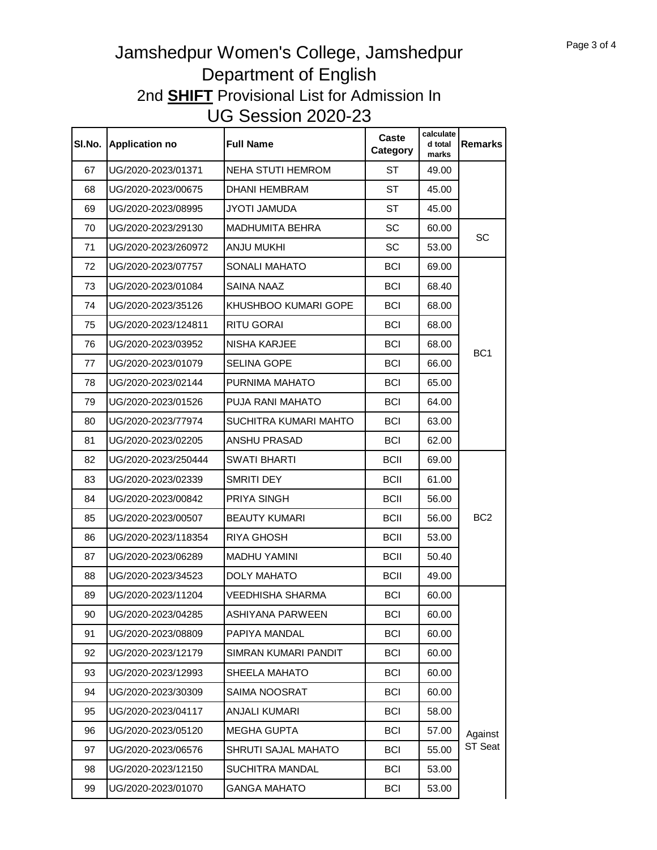| SI.No. | <b>Application no</b> | <b>Full Name</b>        | Caste<br><b>Category</b> | calculate<br>d total<br>marks | <b>Remarks</b>  |
|--------|-----------------------|-------------------------|--------------------------|-------------------------------|-----------------|
| 67     | UG/2020-2023/01371    | NEHA STUTI HEMROM       | ST                       | 49.00                         |                 |
| 68     | UG/2020-2023/00675    | <b>DHANI HEMBRAM</b>    | ST                       | 45.00                         |                 |
| 69     | UG/2020-2023/08995    | <b>JYOTI JAMUDA</b>     | ST                       | 45.00                         |                 |
| 70     | UG/2020-2023/29130    | <b>MADHUMITA BEHRA</b>  | <b>SC</b>                | 60.00                         |                 |
| 71     | UG/2020-2023/260972   | <b>ANJU MUKHI</b>       | SC                       | 53.00                         | SC              |
| 72     | UG/2020-2023/07757    | <b>SONALI MAHATO</b>    | <b>BCI</b>               | 69.00                         |                 |
| 73     | UG/2020-2023/01084    | <b>SAINA NAAZ</b>       | <b>BCI</b>               | 68.40                         |                 |
| 74     | UG/2020-2023/35126    | KHUSHBOO KUMARI GOPE    | <b>BCI</b>               | 68.00                         |                 |
| 75     | UG/2020-2023/124811   | RITU GORAI              | <b>BCI</b>               | 68.00                         |                 |
| 76     | UG/2020-2023/03952    | NISHA KARJEE            | <b>BCI</b>               | 68.00                         |                 |
| 77     | UG/2020-2023/01079    | SELINA GOPE             | <b>BCI</b>               | 66.00                         | BC <sub>1</sub> |
| 78     | UG/2020-2023/02144    | PURNIMA MAHATO          | <b>BCI</b>               | 65.00                         |                 |
| 79     | UG/2020-2023/01526    | PUJA RANI MAHATO        | <b>BCI</b>               | 64.00                         |                 |
| 80     | UG/2020-2023/77974    | SUCHITRA KUMARI MAHTO   | <b>BCI</b>               | 63.00                         |                 |
| 81     | UG/2020-2023/02205    | ANSHU PRASAD            | <b>BCI</b>               | 62.00                         |                 |
| 82     | UG/2020-2023/250444   | <b>SWATI BHARTI</b>     | <b>BCII</b>              | 69.00                         |                 |
| 83     | UG/2020-2023/02339    | SMRITI DEY              | <b>BCII</b>              | 61.00                         |                 |
| 84     | UG/2020-2023/00842    | <b>PRIYA SINGH</b>      | <b>BCII</b>              | 56.00                         |                 |
| 85     | UG/2020-2023/00507    | <b>BEAUTY KUMARI</b>    | <b>BCII</b>              | 56.00                         | BC <sub>2</sub> |
| 86     | UG/2020-2023/118354   | <b>RIYA GHOSH</b>       | <b>BCII</b>              | 53.00                         |                 |
| 87     | UG/2020-2023/06289    | <b>MADHU YAMINI</b>     | <b>BCII</b>              | 50.40                         |                 |
| 88     | UG/2020-2023/34523    | <b>DOLY MAHATO</b>      | <b>BCII</b>              | 49.00                         |                 |
| 89     | UG/2020-2023/11204    | VEEDHISHA SHARMA        | <b>BCI</b>               | 60.00                         |                 |
| 90     | UG/2020-2023/04285    | <b>ASHIYANA PARWEEN</b> | <b>BCI</b>               | 60.00                         |                 |
| 91     | UG/2020-2023/08809    | PAPIYA MANDAL           | <b>BCI</b>               | 60.00                         |                 |
| 92     | UG/2020-2023/12179    | SIMRAN KUMARI PANDIT    | <b>BCI</b>               | 60.00                         |                 |
| 93     | UG/2020-2023/12993    | SHEELA MAHATO           | <b>BCI</b>               | 60.00                         |                 |
| 94     | UG/2020-2023/30309    | SAIMA NOOSRAT           | <b>BCI</b>               | 60.00                         |                 |
| 95     | UG/2020-2023/04117    | <b>ANJALI KUMARI</b>    | <b>BCI</b>               | 58.00                         |                 |
| 96     | UG/2020-2023/05120    | <b>MEGHA GUPTA</b>      | <b>BCI</b>               | 57.00                         | Against         |
| 97     | UG/2020-2023/06576    | SHRUTI SAJAL MAHATO     | <b>BCI</b>               | 55.00                         | ST Seat         |
| 98     | UG/2020-2023/12150    | SUCHITRA MANDAL         | <b>BCI</b>               | 53.00                         |                 |
| 99     | UG/2020-2023/01070    | <b>GANGA MAHATO</b>     | <b>BCI</b>               | 53.00                         |                 |